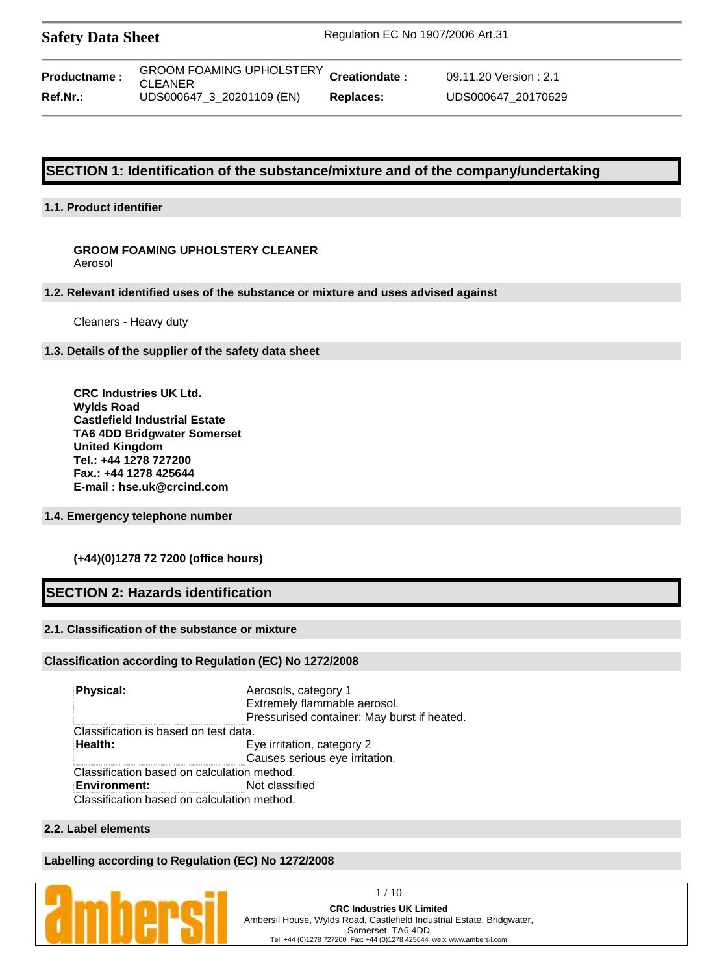| <b>Safety Data Sheet</b> | Regulation EC No 1907/2006 Art.31 |
|--------------------------|-----------------------------------|
|                          |                                   |

| <b>Productname:</b> | GROOM FOAMING UPHOLSTERY Cr<br><b>CLEANER</b> |    |
|---------------------|-----------------------------------------------|----|
| Ref.Nr.:            | UDS000647_3_20201109 (EN)                     | R٥ |

**reationdate :** 09.11.20 Version : 2.1 **Ref.Nr.:** UDS000647\_3\_20201109 (EN) **Replaces:** UDS000647\_20170629

# **SECTION 1: Identification of the substance/mixture and of the company/undertaking**

# **1.1. Product identifier**

#### **GROOM FOAMING UPHOLSTERY CLEANER** Aerosol

#### **1.2. Relevant identified uses of the substance or mixture and uses advised against**

Cleaners - Heavy duty

## **1.3. Details of the supplier of the safety data sheet**

**CRC Industries UK Ltd. Wylds Road Castlefield Industrial Estate TA6 4DD Bridgwater Somerset United Kingdom Tel.: +44 1278 727200 Fax.: +44 1278 425644 E-mail : hse.uk@crcind.com**

#### **1.4. Emergency telephone number**

# **(+44)(0)1278 72 7200 (office hours)**

# **SECTION 2: Hazards identification**

# **2.1. Classification of the substance or mixture**

#### **Classification according to Regulation (EC) No 1272/2008**

**Physical:** Aerosols, category 1 Extremely flammable aerosol. Pressurised container: May burst if heated. Classification is based on test data. **Health:** Eye irritation, category 2 Causes serious eye irritation. Classification based on calculation method. **Environment:** Not classified Classification based on calculation method.

# **2.2. Label elements**

#### **Labelling according to Regulation (EC) No 1272/2008**

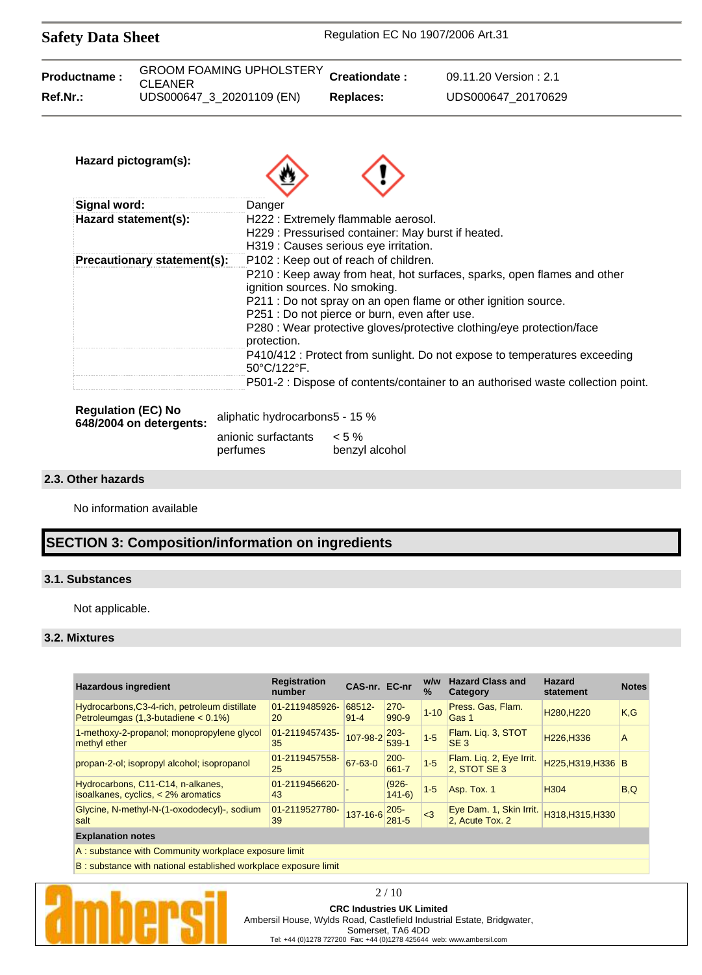| <b>Safety Data Sheet</b>                                                                                                                                   |                             | Regulation EC No 1907/2006 Art.31 |                                                                                                 |                                                                                 |  |  |
|------------------------------------------------------------------------------------------------------------------------------------------------------------|-----------------------------|-----------------------------------|-------------------------------------------------------------------------------------------------|---------------------------------------------------------------------------------|--|--|
| Productname:<br><b>CLEANER</b>                                                                                                                             |                             | <b>GROOM FOAMING UPHOLSTERY</b>   | Creationdate:                                                                                   | 09.11.20 Version: 2.1                                                           |  |  |
| Ref.Nr.:                                                                                                                                                   |                             | UDS000647_3_20201109 (EN)         | <b>Replaces:</b>                                                                                | UDS000647_20170629                                                              |  |  |
| Hazard pictogram(s):                                                                                                                                       |                             |                                   |                                                                                                 |                                                                                 |  |  |
| <b>Signal word:</b>                                                                                                                                        |                             | Danger                            |                                                                                                 |                                                                                 |  |  |
| H222 : Extremely flammable aerosol.<br>Hazard statement(s):<br>H229 : Pressurised container: May burst if heated.<br>H319 : Causes serious eye irritation. |                             |                                   |                                                                                                 |                                                                                 |  |  |
|                                                                                                                                                            | Precautionary statement(s): |                                   | P102 : Keep out of reach of children.                                                           |                                                                                 |  |  |
|                                                                                                                                                            |                             |                                   |                                                                                                 | P210 : Keep away from heat, hot surfaces, sparks, open flames and other         |  |  |
|                                                                                                                                                            |                             |                                   | ignition sources. No smoking.<br>P211 : Do not spray on an open flame or other ignition source. |                                                                                 |  |  |
|                                                                                                                                                            |                             |                                   | P251 : Do not pierce or burn, even after use.                                                   |                                                                                 |  |  |
|                                                                                                                                                            |                             |                                   |                                                                                                 | P280 : Wear protective gloves/protective clothing/eye protection/face           |  |  |
|                                                                                                                                                            |                             | protection.<br>50°C/122°F.        |                                                                                                 | P410/412 : Protect from sunlight. Do not expose to temperatures exceeding       |  |  |
|                                                                                                                                                            |                             |                                   |                                                                                                 | P501-2 : Dispose of contents/container to an authorised waste collection point. |  |  |
| <b>Regulation (EC) No</b>                                                                                                                                  |                             | aliphatic hydrocarbons5 - 15 %    |                                                                                                 |                                                                                 |  |  |
|                                                                                                                                                            | 648/2004 on detergents:     | anionic surfactants               | $< 5 \%$                                                                                        |                                                                                 |  |  |

perfumes benzyl alcohol

### **2.3. Other hazards**

No information available

# **SECTION 3: Composition/information on ingredients**

## **3.1. Substances**

Not applicable.

#### **3.2. Mixtures**

| <b>Hazardous ingredient</b>                                                               | <b>Registration</b><br>number | CAS-nr. EC-nr      |                      | w/w<br>$\%$ | <b>Hazard Class and</b><br>Category        | <b>Hazard</b><br>statement         | <b>Notes</b> |
|-------------------------------------------------------------------------------------------|-------------------------------|--------------------|----------------------|-------------|--------------------------------------------|------------------------------------|--------------|
| Hydrocarbons, C3-4-rich, petroleum distillate<br>Petroleumgas $(1,3$ -butadiene < $0.1\%$ | 01-2119485926-<br>20          | 68512-<br>$91 - 4$ | $270 -$<br>990-9     | $1 - 10$    | Press. Gas, Flam.<br>Gas 1                 | H <sub>280</sub> .H <sub>220</sub> | K, G         |
| 1-methoxy-2-propanol; monopropylene glycol<br>methyl ether                                | 01-2119457435-<br>35          | 107-98-2           | $203 -$<br>539-1     | $1 - 5$     | Flam. Lig. 3, STOT<br>SE <sub>3</sub>      | H226.H336                          | A            |
| propan-2-ol; isopropyl alcohol; isopropanol                                               | 01-2119457558-<br>25          | 67-63-0            | $200 -$<br>661-7     | $1 - 5$     | Flam. Liq. 2, Eye Irrit.<br>2, STOT SE 3   | H225, H319, H336 B                 |              |
| Hydrocarbons, C11-C14, n-alkanes,<br>isoalkanes, cyclics, $<$ 2% aromatics                | 01-2119456620-<br>43          |                    | $(926 -$<br>$141-6)$ | $1-5$       | Asp. Tox. 1                                | H <sub>304</sub>                   | B.Q          |
| Glycine, N-methyl-N-(1-oxododecyl)-, sodium<br>salt                                       | 01-2119527780-<br>39          | 137-16-6           | 205-<br>$281 - 5$    | $\leq$ 3    | Eye Dam. 1, Skin Irrit.<br>2. Acute Tox. 2 | H318.H315.H330                     |              |
| <b>Explanation notes</b>                                                                  |                               |                    |                      |             |                                            |                                    |              |

A : substance with Community workplace exposure limit

B : substance with national established workplace exposure limit



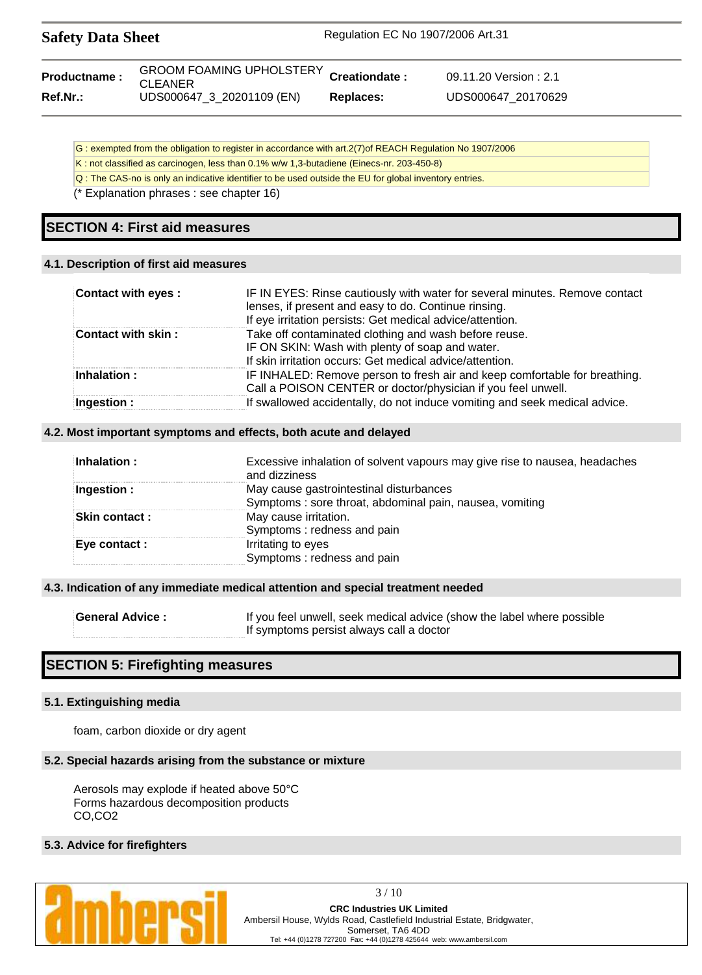| <b>Safety Data Sheet</b> |                                                           | Regulation EC No 1907/2006 Art.31 |                        |  |
|--------------------------|-----------------------------------------------------------|-----------------------------------|------------------------|--|
| <b>Productname:</b>      | GROOM FOAMING UPHOLSTERY Creationdate :<br><b>CLEANER</b> |                                   | 09.11.20 Version : 2.1 |  |
| $Ref.Nr.$ :              | UDS000647 3 20201109 (EN)                                 | Replaces:                         | UDS000647 20170629     |  |

- G : exempted from the obligation to register in accordance with art.2(7)of REACH Regulation No 1907/2006
- K : not classified as carcinogen, less than 0.1% w/w 1,3-butadiene (Einecs-nr. 203-450-8)
- Q : The CAS-no is only an indicative identifier to be used outside the EU for global inventory entries.
- (\* Explanation phrases : see chapter 16)

# **SECTION 4: First aid measures**

#### **4.1. Description of first aid measures**

| Contact with eyes: | IF IN EYES: Rinse cautiously with water for several minutes. Remove contact<br>lenses, if present and easy to do. Continue rinsing.<br>If eye irritation persists: Get medical advice/attention. |
|--------------------|--------------------------------------------------------------------------------------------------------------------------------------------------------------------------------------------------|
| Contact with skin: | Take off contaminated clothing and wash before reuse.<br>IF ON SKIN: Wash with plenty of soap and water.<br>If skin irritation occurs: Get medical advice/attention.                             |
| Inhalation:        | IF INHALED: Remove person to fresh air and keep comfortable for breathing.<br>Call a POISON CENTER or doctor/physician if you feel unwell.                                                       |
| Ingestion:         | If swallowed accidentally, do not induce vomiting and seek medical advice.                                                                                                                       |

#### **4.2. Most important symptoms and effects, both acute and delayed**

| Inhalation:          | Excessive inhalation of solvent vapours may give rise to nausea, headaches<br>and dizziness |
|----------------------|---------------------------------------------------------------------------------------------|
| Ingestion:           | May cause gastrointestinal disturbances                                                     |
|                      | Symptoms: sore throat, abdominal pain, nausea, vomiting                                     |
| <b>Skin contact:</b> | May cause irritation.                                                                       |
|                      | Symptoms: redness and pain                                                                  |
| Eye contact :        | Irritating to eyes                                                                          |
|                      | Symptoms: redness and pain                                                                  |

#### **4.3. Indication of any immediate medical attention and special treatment needed**

| <b>General Advice:</b> | If you feel unwell, seek medical advice (show the label where possible |
|------------------------|------------------------------------------------------------------------|
|                        | If symptoms persist always call a doctor                               |

# **SECTION 5: Firefighting measures**

#### **5.1. Extinguishing media**

foam, carbon dioxide or dry agent

#### **5.2. Special hazards arising from the substance or mixture**

Aerosols may explode if heated above 50°C Forms hazardous decomposition products CO,CO2

#### **5.3. Advice for firefighters**



3 / 10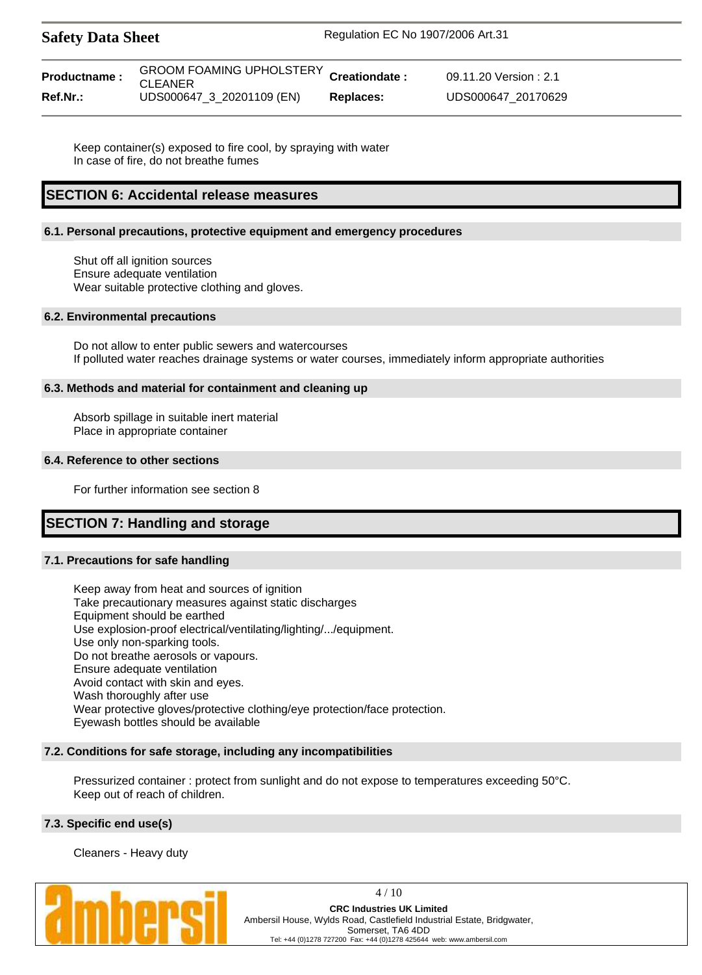| <b>Safety Data Sheet</b> |                                                           | Regulation EC No 1907/2006 Art.31 |                        |  |
|--------------------------|-----------------------------------------------------------|-----------------------------------|------------------------|--|
| <b>Productname:</b>      | GROOM FOAMING UPHOLSTERY Creationdate :<br><b>CLEANER</b> |                                   | 09.11.20 Version : 2.1 |  |

**Ref.Nr.:** UDS000647\_3\_20201109 (EN) **Replaces:** UDS000647\_20170629

Keep container(s) exposed to fire cool, by spraying with water In case of fire, do not breathe fumes

# **SECTION 6: Accidental release measures**

#### **6.1. Personal precautions, protective equipment and emergency procedures**

Shut off all ignition sources Ensure adequate ventilation Wear suitable protective clothing and gloves.

#### **6.2. Environmental precautions**

Do not allow to enter public sewers and watercourses If polluted water reaches drainage systems or water courses, immediately inform appropriate authorities

#### **6.3. Methods and material for containment and cleaning up**

Absorb spillage in suitable inert material Place in appropriate container

#### **6.4. Reference to other sections**

For further information see section 8

# **SECTION 7: Handling and storage**

#### **7.1. Precautions for safe handling**

Keep away from heat and sources of ignition Take precautionary measures against static discharges Equipment should be earthed Use explosion-proof electrical/ventilating/lighting/.../equipment. Use only non-sparking tools. Do not breathe aerosols or vapours. Ensure adequate ventilation Avoid contact with skin and eyes. Wash thoroughly after use Wear protective gloves/protective clothing/eye protection/face protection. Eyewash bottles should be available

#### **7.2. Conditions for safe storage, including any incompatibilities**

Pressurized container : protect from sunlight and do not expose to temperatures exceeding 50°C. Keep out of reach of children.

#### **7.3. Specific end use(s)**

Cleaners - Heavy duty



4 / 10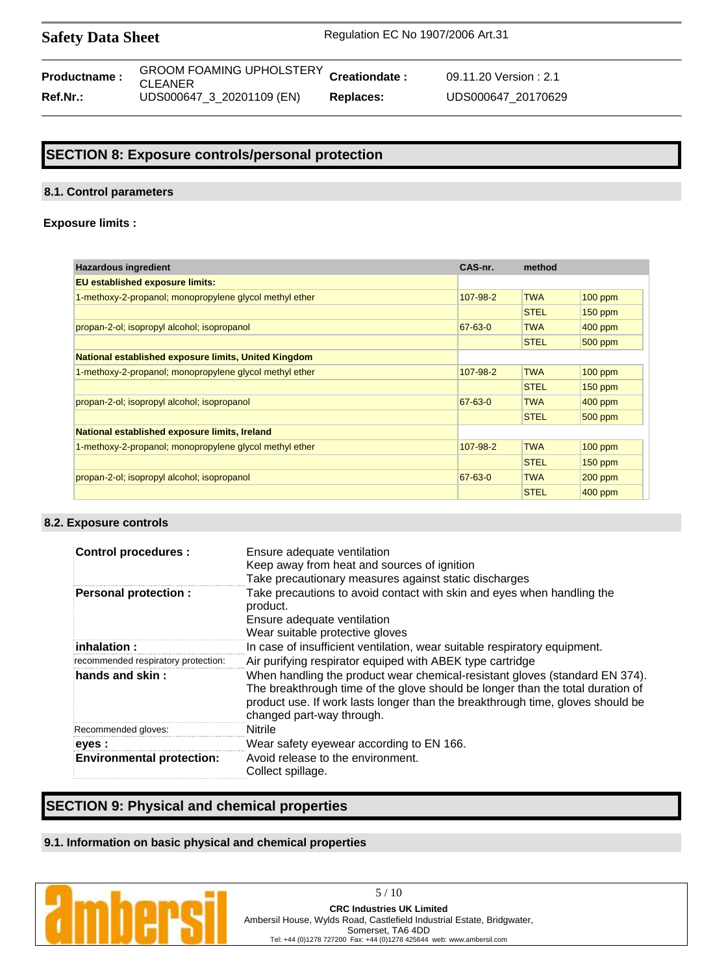Safety Data Sheet Regulation EC No 1907/2006 Art.31

| Productname:    | <b>GROOM FOAMING UPHOLSTERY CI</b><br><b>CLEANER</b> |    |
|-----------------|------------------------------------------------------|----|
| <b>Ref.Nr.:</b> | UDS000647_3_20201109 (EN)                            | R٥ |

**reationdate :** 09.11.20 Version : 2.1 **Ref.Nr.:** UDS000647\_3\_20201109 (EN) **Replaces:** UDS000647\_20170629

# **SECTION 8: Exposure controls/personal protection**

#### **8.1. Control parameters**

#### **Exposure limits :**

| <b>Hazardous ingredient</b>                             | CAS-nr.  | method      |           |
|---------------------------------------------------------|----------|-------------|-----------|
| <b>EU</b> established exposure limits:                  |          |             |           |
| 1-methoxy-2-propanol; monopropylene glycol methyl ether | 107-98-2 | <b>TWA</b>  | $100$ ppm |
|                                                         |          | <b>STEL</b> | $150$ ppm |
| propan-2-ol; isopropyl alcohol; isopropanol             | 67-63-0  | <b>TWA</b>  | $400$ ppm |
|                                                         |          | <b>STEL</b> | 500 ppm   |
| National established exposure limits, United Kingdom    |          |             |           |
| 1-methoxy-2-propanol; monopropylene glycol methyl ether | 107-98-2 | <b>TWA</b>  | $100$ ppm |
|                                                         |          | <b>STEL</b> | $150$ ppm |
| propan-2-ol; isopropyl alcohol; isopropanol             | 67-63-0  | <b>TWA</b>  | $400$ ppm |
|                                                         |          | <b>STEL</b> | 500 ppm   |
| National established exposure limits, Ireland           |          |             |           |
| 1-methoxy-2-propanol; monopropylene glycol methyl ether | 107-98-2 | <b>TWA</b>  | 100 ppm   |
|                                                         |          | <b>STEL</b> | $150$ ppm |
| propan-2-ol; isopropyl alcohol; isopropanol             | 67-63-0  | <b>TWA</b>  | 200 ppm   |
|                                                         |          | <b>STEL</b> | 400 ppm   |

#### **8.2. Exposure controls**

| <b>Control procedures:</b>          | Ensure adequate ventilation<br>Keep away from heat and sources of ignition<br>Take precautionary measures against static discharges                                                                                                                                          |
|-------------------------------------|------------------------------------------------------------------------------------------------------------------------------------------------------------------------------------------------------------------------------------------------------------------------------|
| <b>Personal protection:</b>         | Take precautions to avoid contact with skin and eyes when handling the<br>product.<br>Ensure adequate ventilation<br>Wear suitable protective gloves                                                                                                                         |
| $\,$ inhalation :                   | In case of insufficient ventilation, wear suitable respiratory equipment.                                                                                                                                                                                                    |
| recommended respiratory protection: | Air purifying respirator equiped with ABEK type cartridge                                                                                                                                                                                                                    |
| hands and skin:                     | When handling the product wear chemical-resistant gloves (standard EN 374).<br>The breakthrough time of the glove should be longer than the total duration of<br>product use. If work lasts longer than the breakthrough time, gloves should be<br>changed part-way through. |
| Recommended gloves:                 | Nitrile                                                                                                                                                                                                                                                                      |
| eyes :                              | Wear safety eyewear according to EN 166.                                                                                                                                                                                                                                     |
| <b>Environmental protection:</b>    | Avoid release to the environment.<br>Collect spillage.                                                                                                                                                                                                                       |

# **SECTION 9: Physical and chemical properties**

# **9.1. Information on basic physical and chemical properties**

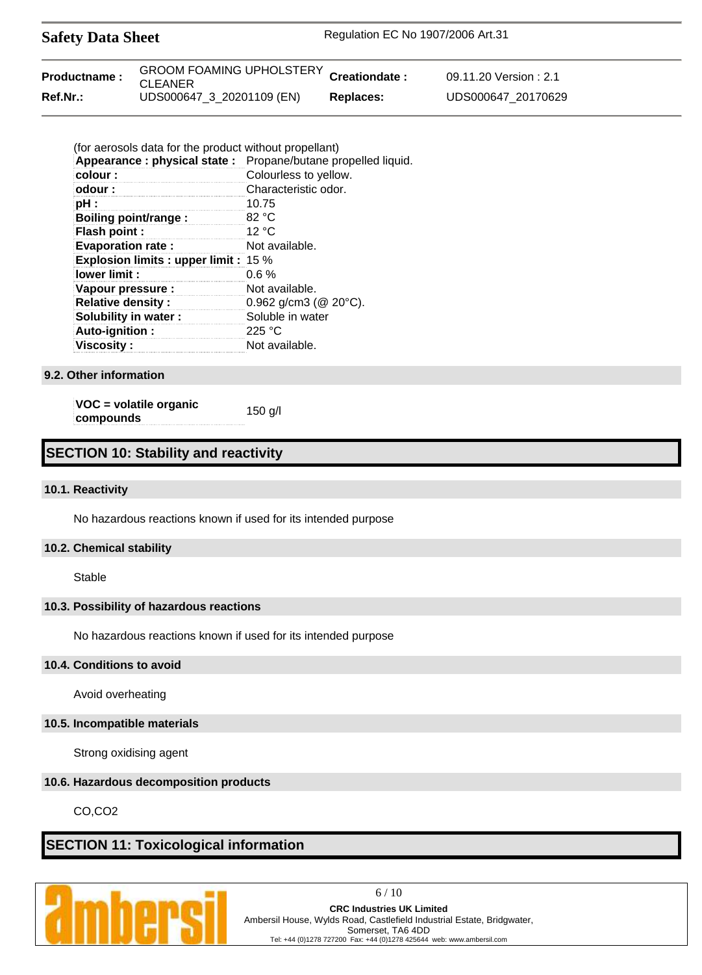| <b>Safety Data Sheet</b> |                                                           | Regulation EC No 1907/2006 Art.31 |                       |  |
|--------------------------|-----------------------------------------------------------|-----------------------------------|-----------------------|--|
| Productname:             | GROOM FOAMING UPHOLSTERY Creationdate :<br><b>CLEANER</b> |                                   | 09.11.20 Version: 2.1 |  |
| Ref.Nr.:                 | UDS000647_3_20201109 (EN)                                 | <b>Replaces:</b>                  | UDS000647 20170629    |  |

| (for aerosols data for the product without propellant) |                                                              |
|--------------------------------------------------------|--------------------------------------------------------------|
|                                                        | Appearance: physical state: Propane/butane propelled liquid. |
| colour:                                                | Colourless to yellow.                                        |
| odour:                                                 | Characteristic odor.                                         |
| pH :                                                   | 10.75                                                        |
| Boiling point/range:                                   | 82 °C                                                        |
| Flash point :                                          | 12 °C                                                        |
| <b>Evaporation rate:</b>                               | Not available.                                               |
| <b>Explosion limits: upper limit: 15 %</b>             |                                                              |
| lower limit :                                          | $0.6\%$                                                      |
| Vapour pressure :                                      | Not available.                                               |
| <b>Relative density:</b>                               | $0.962$ g/cm3 ( $@$ 20 $°C$ ).                               |
| Solubility in water:                                   | Soluble in water                                             |
| Auto-ignition:                                         | 225 °C                                                       |
| <b>Viscosity:</b>                                      | Not available.                                               |

#### **9.2. Other information**

**VOC = volatile organic compounds** 150 g/l

# **SECTION 10: Stability and reactivity**

#### **10.1. Reactivity**

No hazardous reactions known if used for its intended purpose

#### **10.2. Chemical stability**

Stable

#### **10.3. Possibility of hazardous reactions**

No hazardous reactions known if used for its intended purpose

#### **10.4. Conditions to avoid**

Avoid overheating

#### **10.5. Incompatible materials**

Strong oxidising agent

#### **10.6. Hazardous decomposition products**

CO,CO2

# **SECTION 11: Toxicological information**



6 / 10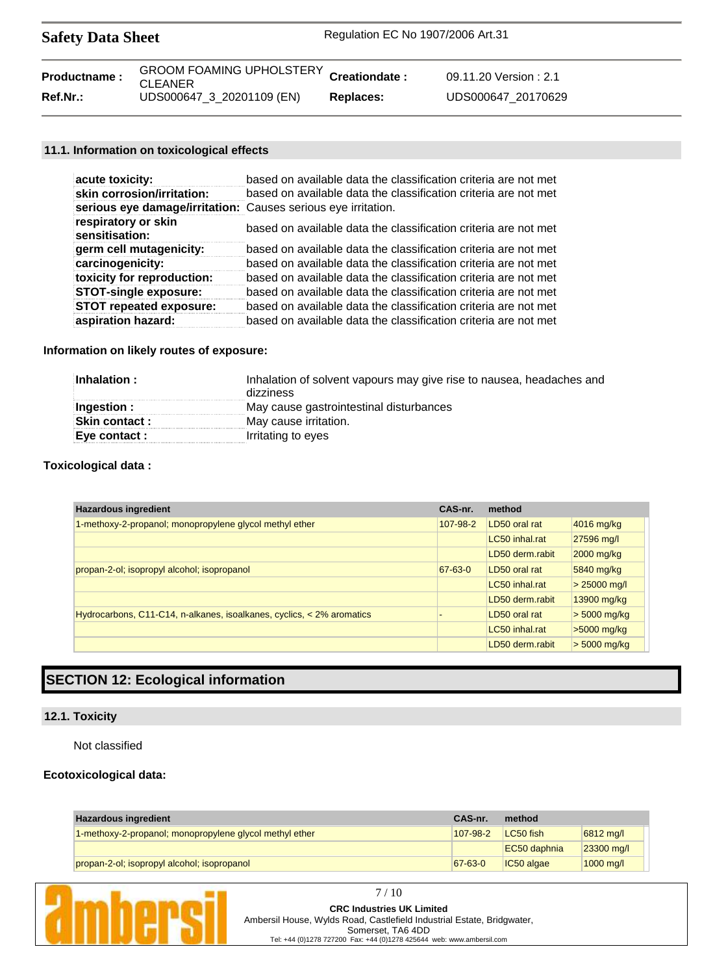| <b>Safety Data Sheet</b> |                                                           | Regulation EC No 1907/2006 Art.31 |                       |  |
|--------------------------|-----------------------------------------------------------|-----------------------------------|-----------------------|--|
| <b>Productname:</b>      | GROOM FOAMING UPHOLSTERY Creationdate :<br><b>CLEANER</b> |                                   | 09.11.20 Version: 2.1 |  |
| Ref.Nr.:                 | UDS000647 3 20201109 (EN)                                 | Replaces:                         | UDS000647 20170629    |  |

## **11.1. Information on toxicological effects**

| acute toxicity:                                               | based on available data the classification criteria are not met |
|---------------------------------------------------------------|-----------------------------------------------------------------|
| skin corrosion/irritation:                                    | based on available data the classification criteria are not met |
| serious eye damage/irritation: Causes serious eye irritation. |                                                                 |
| respiratory or skin<br>sensitisation:                         | based on available data the classification criteria are not met |
| germ cell mutagenicity:                                       | based on available data the classification criteria are not met |
| carcinogenicity:                                              | based on available data the classification criteria are not met |
| toxicity for reproduction:                                    | based on available data the classification criteria are not met |
| <b>STOT-single exposure:</b>                                  | based on available data the classification criteria are not met |
| <b>STOT repeated exposure:</b>                                | based on available data the classification criteria are not met |
| aspiration hazard:                                            | based on available data the classification criteria are not met |

# **Information on likely routes of exposure:**

| Inhalation:          | Inhalation of solvent vapours may give rise to nausea, headaches and<br>dizziness |
|----------------------|-----------------------------------------------------------------------------------|
| Ingestion :          | May cause gastrointestinal disturbances                                           |
| <b>Skin contact:</b> | May cause irritation.                                                             |
| Eye contact :        | Irritating to eyes                                                                |

## **Toxicological data :**

| <b>Hazardous ingredient</b>                                             | CAS-nr.       | method          |                |
|-------------------------------------------------------------------------|---------------|-----------------|----------------|
| 1-methoxy-2-propanol; monopropylene glycol methyl ether                 | 107-98-2      | LD50 oral rat   | 4016 mg/kg     |
|                                                                         |               | LC50 inhal.rat  | 27596 mg/l     |
|                                                                         |               | LD50 derm.rabit | 2000 mg/kg     |
| propan-2-ol; isopropyl alcohol; isopropanol                             | $67 - 63 - 0$ | LD50 oral rat   | 5840 mg/kg     |
|                                                                         |               | LC50 inhal.rat  | $> 25000$ mg/l |
|                                                                         |               | LD50 derm.rabit | 13900 mg/kg    |
| Hydrocarbons, C11-C14, n-alkanes, isoalkanes, cyclics, $<$ 2% aromatics |               | LD50 oral rat   | $> 5000$ mg/kg |
|                                                                         |               | LC50 inhal.rat  | $>5000$ mg/kg  |
|                                                                         |               | LD50 derm.rabit | $> 5000$ mg/kg |

# **SECTION 12: Ecological information**

## **12.1. Toxicity**

Not classified

#### **Ecotoxicological data:**

| <b>Hazardous ingredient</b>                             | CAS-nr.       | method       |                     |
|---------------------------------------------------------|---------------|--------------|---------------------|
| 1-methoxy-2-propanol; monopropylene glycol methyl ether | 107-98-2      | LC50 fish    | 6812 mg/l           |
|                                                         |               | EC50 daphnia | $ 23300 \text{ mg}$ |
| propan-2-ol; isopropyl alcohol; isopropanol             | $67 - 63 - 0$ | IC50 algae   | $1000 \text{ m}$    |

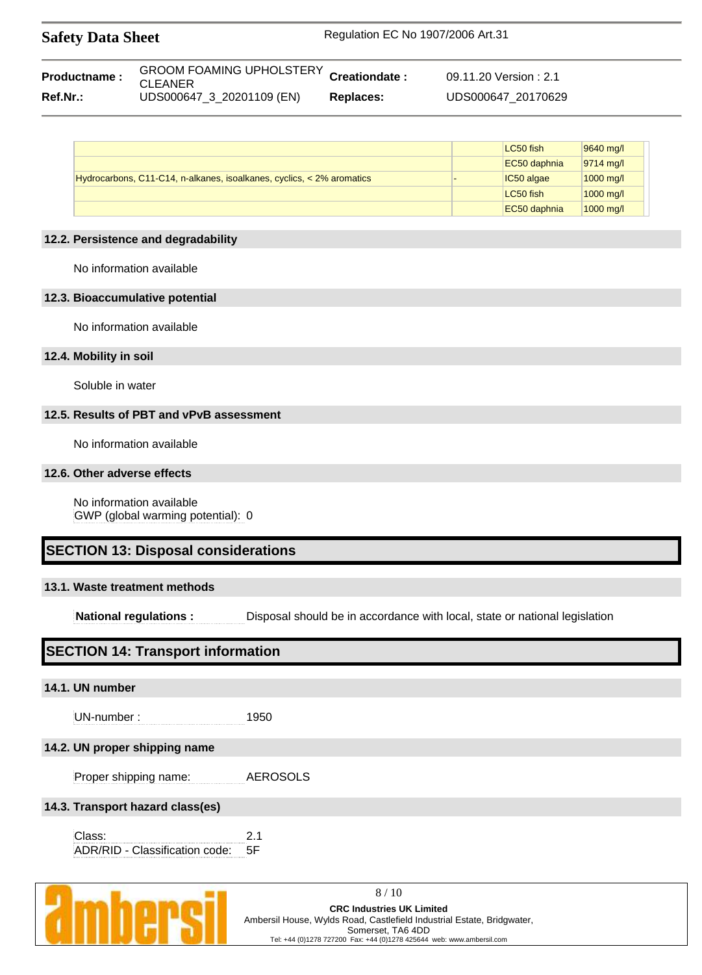| <b>Safety Data Sheet</b> | Regulation EC No 1907/2006 Art.31 |
|--------------------------|-----------------------------------|
|                          |                                   |

| Productname: | GROOM FOAMING UPHOLSTERY Creationdate :<br><b>CLEANER</b> |           | 09.11.20 Version : 2.1 |
|--------------|-----------------------------------------------------------|-----------|------------------------|
| Ref.Nr.:     | UDS000647 3 20201109 (EN)                                 | Replaces: | UDS000647 20170629     |

|                                                                       | LC50 fish    | 9640 mg/l           |
|-----------------------------------------------------------------------|--------------|---------------------|
|                                                                       | EC50 daphnia | 9714 mg/l           |
| Hydrocarbons, C11-C14, n-alkanes, isoalkanes, cyclics, < 2% aromatics | IC50 algae   | $1000 \text{ mq/l}$ |
|                                                                       | LC50 fish    | $1000 \text{ mq/l}$ |
|                                                                       | EC50 daphnia | $1000$ mg/l         |

#### **12.2. Persistence and degradability**

No information available

#### **12.3. Bioaccumulative potential**

No information available

#### **12.4. Mobility in soil**

Soluble in water

#### **12.5. Results of PBT and vPvB assessment**

No information available

#### **12.6. Other adverse effects**

No information available GWP (global warming potential): 0

# **SECTION 13: Disposal considerations**

#### **13.1. Waste treatment methods**

**National regulations :** Disposal should be in accordance with local, state or national legislation

# **SECTION 14: Transport information**

#### **14.1. UN number**

UN-number : 1950

#### **14.2. UN proper shipping name**

Proper shipping name: AEROSOLS

#### **14.3. Transport hazard class(es)**

Class: 2.1 ADR/RID - Classification code: 5F



8 / 10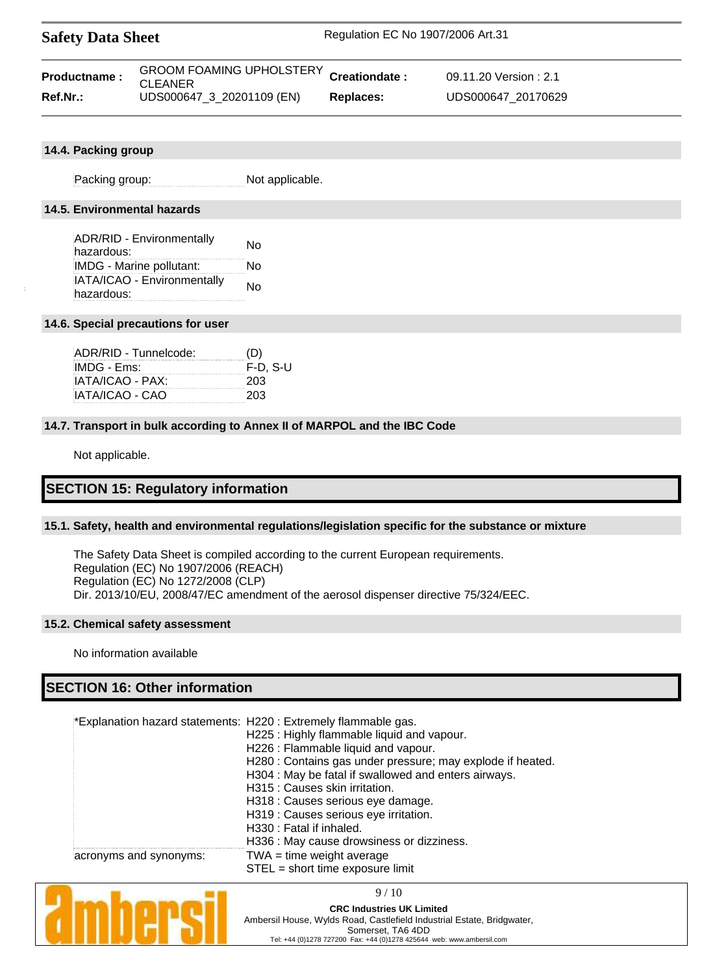| <b>Safety Data Sheet</b> | Regulation EC No 1907/2006 Art.31 |
|--------------------------|-----------------------------------|
|                          |                                   |

| Productname: | GROOM FOAMING UPHOLSTERY Creationdate:<br><b>CLEANER</b> |                  | 09.11.20 Version: 2.1 |
|--------------|----------------------------------------------------------|------------------|-----------------------|
| Ref.Nr.:     | UDS000647_3_20201109 (EN)                                | <b>Replaces:</b> | UDS000647 20170629    |

#### **14.4. Packing group**

Packing group: Not applicable.

## **14.5. Environmental hazards**

| <b>ADR/RID - Environmentally</b> | Nο |  |  |
|----------------------------------|----|--|--|
| hazardous:                       |    |  |  |
| IMDG - Marine pollutant:         | N٥ |  |  |
| IATA/ICAO - Environmentally      | Nο |  |  |
| hazardous:                       |    |  |  |

#### **14.6. Special precautions for user**

| ADR/RID - Tunnelcode: | (D)        |
|-----------------------|------------|
| IMDG - Ems:           | $F-D. S-U$ |
| IATA/ICAO - PAX:      | 203        |
| IATA/ICAO - CAO       | 203        |

#### **14.7. Transport in bulk according to Annex II of MARPOL and the IBC Code**

Not applicable.

# **SECTION 15: Regulatory information**

#### **15.1. Safety, health and environmental regulations/legislation specific for the substance or mixture**

The Safety Data Sheet is compiled according to the current European requirements. Regulation (EC) No 1907/2006 (REACH) Regulation (EC) No 1272/2008 (CLP) Dir. 2013/10/EU, 2008/47/EC amendment of the aerosol dispenser directive 75/324/EEC.

#### **15.2. Chemical safety assessment**

No information available

# **SECTION 16: Other information**

|                        | *Explanation hazard statements: H220 : Extremely flammable gas.<br>H225: Highly flammable liquid and vapour.<br>H226 : Flammable liquid and vapour.<br>H280 : Contains gas under pressure; may explode if heated.<br>H304 : May be fatal if swallowed and enters airways.<br>H315 : Causes skin irritation.<br>H318 : Causes serious eye damage.<br>H319 : Causes serious eye irritation.<br>H330 : Fatal if inhaled. |
|------------------------|-----------------------------------------------------------------------------------------------------------------------------------------------------------------------------------------------------------------------------------------------------------------------------------------------------------------------------------------------------------------------------------------------------------------------|
|                        | H336 : May cause drowsiness or dizziness.                                                                                                                                                                                                                                                                                                                                                                             |
| acronyms and synonyms: | $TWA = time weight average$<br>STEL = short time exposure limit                                                                                                                                                                                                                                                                                                                                                       |



9 / 10